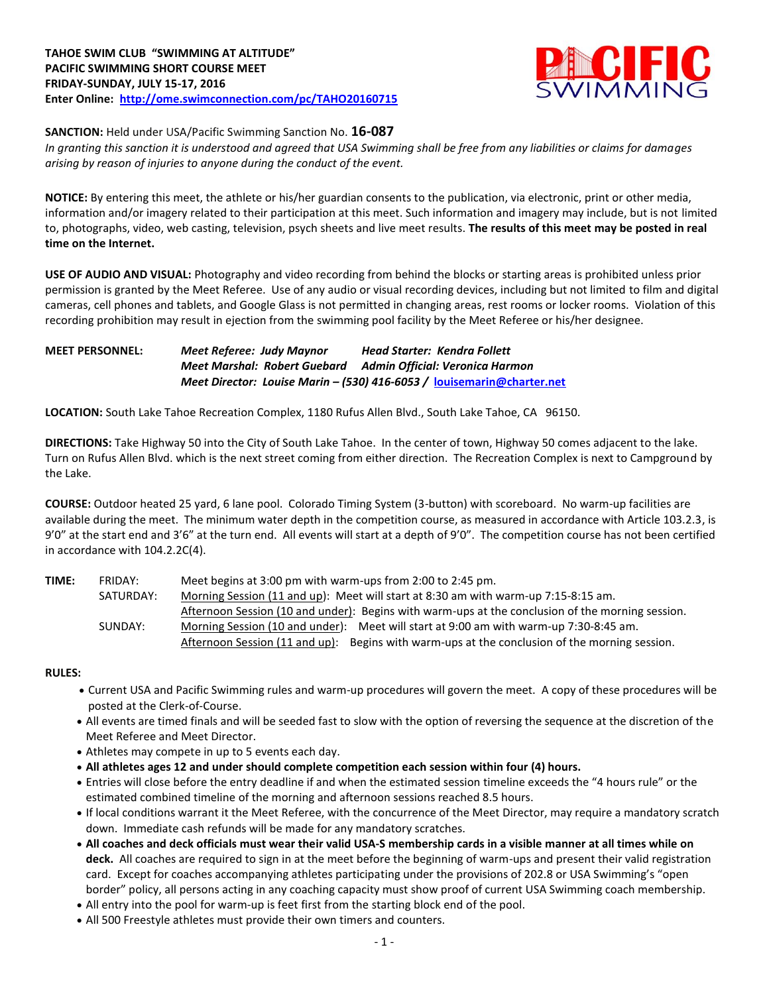

**SANCTION:** Held under USA/Pacific Swimming Sanction No. **16-087**

*In granting this sanction it is understood and agreed that USA Swimming shall be free from any liabilities or claims for damages arising by reason of injuries to anyone during the conduct of the event.*

**NOTICE:** By entering this meet, the athlete or his/her guardian consents to the publication, via electronic, print or other media, information and/or imagery related to their participation at this meet. Such information and imagery may include, but is not limited to, photographs, video, web casting, television, psych sheets and live meet results. **The results of this meet may be posted in real time on the Internet.**

**USE OF AUDIO AND VISUAL:** Photography and video recording from behind the blocks or starting areas is prohibited unless prior permission is granted by the Meet Referee. Use of any audio or visual recording devices, including but not limited to film and digital cameras, cell phones and tablets, and Google Glass is not permitted in changing areas, rest rooms or locker rooms. Violation of this recording prohibition may result in ejection from the swimming pool facility by the Meet Referee or his/her designee.

### **MEET PERSONNEL:** *Meet Referee: Judy Maynor Head Starter: Kendra Follett Meet Marshal: Robert Guebard Admin Official: Veronica Harmon Meet Director: Louise Marin – (530) 416-6053 /* **[louisemarin@charter.net](mailto:louisemarin@charter.net)**

**LOCATION:** South Lake Tahoe Recreation Complex, 1180 Rufus Allen Blvd., South Lake Tahoe, CA 96150.

**DIRECTIONS:** Take Highway 50 into the City of South Lake Tahoe. In the center of town, Highway 50 comes adjacent to the lake. Turn on Rufus Allen Blvd. which is the next street coming from either direction. The Recreation Complex is next to Campground by the Lake.

**COURSE:** Outdoor heated 25 yard, 6 lane pool. Colorado Timing System (3-button) with scoreboard. No warm-up facilities are available during the meet. The minimum water depth in the competition course, as measured in accordance with Article 103.2.3, is 9'0" at the start end and 3'6" at the turn end. All events will start at a depth of 9'0". The competition course has not been certified in accordance with 104.2.2C(4).

**TIME:** FRIDAY: Meet begins at 3:00 pm with warm-ups from 2:00 to 2:45 pm. SATURDAY: Morning Session (11 and up): Meet will start at 8:30 am with warm-up 7:15-8:15 am. Afternoon Session (10 and under): Begins with warm-ups at the conclusion of the morning session. SUNDAY: Morning Session (10 and under): Meet will start at 9:00 am with warm-up 7:30-8:45 am. Afternoon Session (11 and up): Begins with warm-ups at the conclusion of the morning session.

### **RULES:**

- Current USA and Pacific Swimming rules and warm-up procedures will govern the meet. A copy of these procedures will be posted at the Clerk-of-Course.
- All events are timed finals and will be seeded fast to slow with the option of reversing the sequence at the discretion of the Meet Referee and Meet Director.
- Athletes may compete in up to 5 events each day.
- **All athletes ages 12 and under should complete competition each session within four (4) hours.**
- Entries will close before the entry deadline if and when the estimated session timeline exceeds the "4 hours rule" or the estimated combined timeline of the morning and afternoon sessions reached 8.5 hours.
- If local conditions warrant it the Meet Referee, with the concurrence of the Meet Director, may require a mandatory scratch down. Immediate cash refunds will be made for any mandatory scratches.
- **All coaches and deck officials must wear their valid USA-S membership cards in a visible manner at all times while on deck.** All coaches are required to sign in at the meet before the beginning of warm-ups and present their valid registration card. Except for coaches accompanying athletes participating under the provisions of 202.8 or USA Swimming's "open border" policy, all persons acting in any coaching capacity must show proof of current USA Swimming coach membership.
- All entry into the pool for warm-up is feet first from the starting block end of the pool.
- All 500 Freestyle athletes must provide their own timers and counters.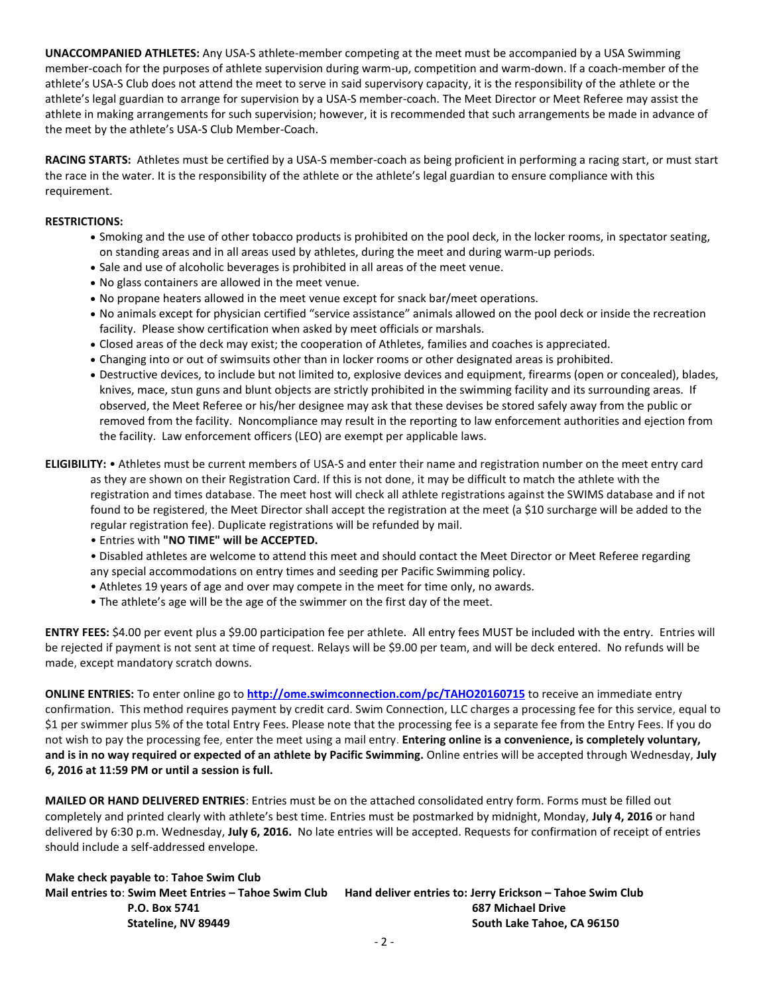**UNACCOMPANIED ATHLETES:** Any USA-S athlete-member competing at the meet must be accompanied by a USA Swimming member-coach for the purposes of athlete supervision during warm-up, competition and warm-down. If a coach-member of the athlete's USA-S Club does not attend the meet to serve in said supervisory capacity, it is the responsibility of the athlete or the athlete's legal guardian to arrange for supervision by a USA-S member-coach. The Meet Director or Meet Referee may assist the athlete in making arrangements for such supervision; however, it is recommended that such arrangements be made in advance of the meet by the athlete's USA-S Club Member-Coach.

**RACING STARTS:** Athletes must be certified by a USA-S member-coach as being proficient in performing a racing start, or must start the race in the water. It is the responsibility of the athlete or the athlete's legal guardian to ensure compliance with this requirement.

#### **RESTRICTIONS:**

- Smoking and the use of other tobacco products is prohibited on the pool deck, in the locker rooms, in spectator seating, on standing areas and in all areas used by athletes, during the meet and during warm-up periods.
- Sale and use of alcoholic beverages is prohibited in all areas of the meet venue.
- No glass containers are allowed in the meet venue.
- No propane heaters allowed in the meet venue except for snack bar/meet operations.
- No animals except for physician certified "service assistance" animals allowed on the pool deck or inside the recreation facility. Please show certification when asked by meet officials or marshals.
- Closed areas of the deck may exist; the cooperation of Athletes, families and coaches is appreciated.
- Changing into or out of swimsuits other than in locker rooms or other designated areas is prohibited.
- Destructive devices, to include but not limited to, explosive devices and equipment, firearms (open or concealed), blades, knives, mace, stun guns and blunt objects are strictly prohibited in the swimming facility and its surrounding areas. If observed, the Meet Referee or his/her designee may ask that these devises be stored safely away from the public or removed from the facility. Noncompliance may result in the reporting to law enforcement authorities and ejection from the facility. Law enforcement officers (LEO) are exempt per applicable laws.
- **ELIGIBILITY:** Athletes must be current members of USA-S and enter their name and registration number on the meet entry card as they are shown on their Registration Card. If this is not done, it may be difficult to match the athlete with the registration and times database. The meet host will check all athlete registrations against the SWIMS database and if not found to be registered, the Meet Director shall accept the registration at the meet (a \$10 surcharge will be added to the regular registration fee). Duplicate registrations will be refunded by mail.
	- Entries with **"NO TIME" will be ACCEPTED.**

• Disabled athletes are welcome to attend this meet and should contact the Meet Director or Meet Referee regarding any special accommodations on entry times and seeding per Pacific Swimming policy.

- Athletes 19 years of age and over may compete in the meet for time only, no awards.
- The athlete's age will be the age of the swimmer on the first day of the meet.

**ENTRY FEES:** \$4.00 per event plus a \$9.00 participation fee per athlete. All entry fees MUST be included with the entry. Entries will be rejected if payment is not sent at time of request. Relays will be \$9.00 per team, and will be deck entered. No refunds will be made, except mandatory scratch downs.

**ONLINE ENTRIES:** To enter online go to **<http://ome.swimconnection.com/pc/TAHO20160715>** to receive an immediate entry confirmation. This method requires payment by credit card. Swim Connection, LLC charges a processing fee for this service, equal to \$1 per swimmer plus 5% of the total Entry Fees. Please note that the processing fee is a separate fee from the Entry Fees. If you do not wish to pay the processing fee, enter the meet using a mail entry. **Entering online is a convenience, is completely voluntary, and is in no way required or expected of an athlete by Pacific Swimming.** Online entries will be accepted through Wednesday, **July 6, 2016 at 11:59 PM or until a session is full.**

**MAILED OR HAND DELIVERED ENTRIES**: Entries must be on the attached consolidated entry form. Forms must be filled out completely and printed clearly with athlete's best time. Entries must be postmarked by midnight, Monday, **July 4, 2016** or hand delivered by 6:30 p.m. Wednesday, **July 6, 2016.** No late entries will be accepted. Requests for confirmation of receipt of entries should include a self-addressed envelope.

**Make check payable to**: **Tahoe Swim Club Mail entries to**: **Swim Meet Entries – Tahoe Swim Club Hand deliver entries to: Jerry Erickson – Tahoe Swim Club P.O. Box 5741 687 Michael Drive Stateline, NV 89449 South Lake Tahoe, CA 96150**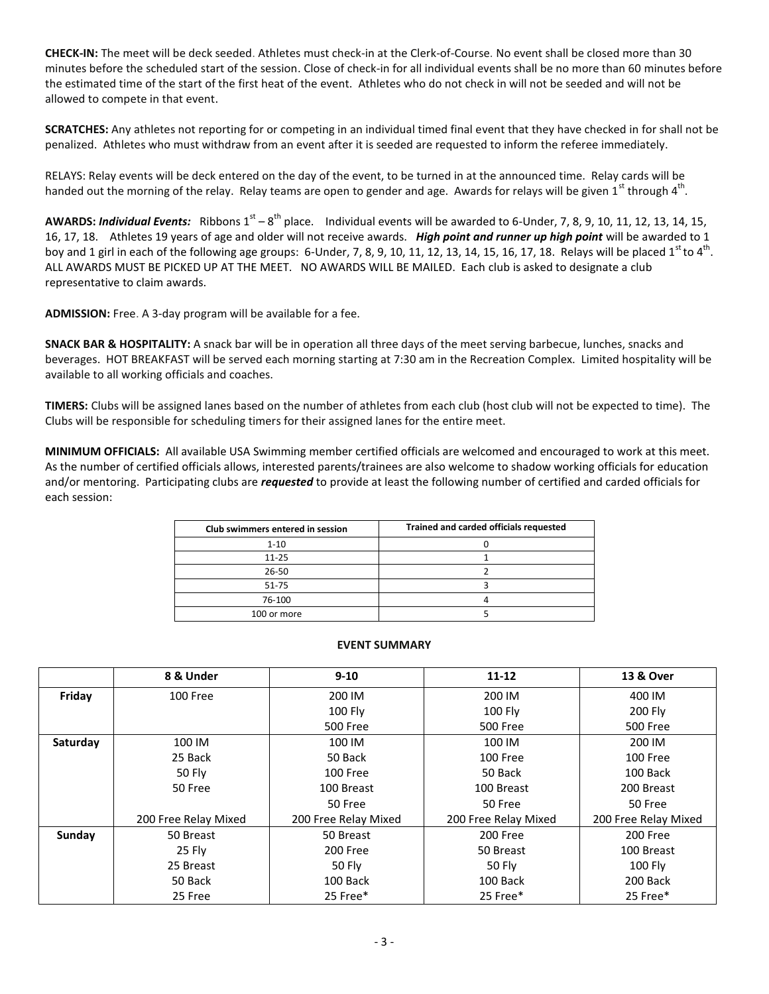**CHECK-IN:** The meet will be deck seeded. Athletes must check-in at the Clerk-of-Course. No event shall be closed more than 30 minutes before the scheduled start of the session. Close of check-in for all individual events shall be no more than 60 minutes before the estimated time of the start of the first heat of the event. Athletes who do not check in will not be seeded and will not be allowed to compete in that event.

**SCRATCHES:** Any athletes not reporting for or competing in an individual timed final event that they have checked in for shall not be penalized. Athletes who must withdraw from an event after it is seeded are requested to inform the referee immediately.

RELAYS: Relay events will be deck entered on the day of the event, to be turned in at the announced time. Relay cards will be handed out the morning of the relay. Relay teams are open to gender and age. Awards for relays will be given 1<sup>st</sup> through 4<sup>th</sup>.

AWARDS: *Individual Events:* Ribbons 1<sup>st</sup> – 8<sup>th</sup> place. Individual events will be awarded to 6-Under, 7, 8, 9, 10, 11, 12, 13, 14, 15, 16, 17, 18. Athletes 19 years of age and older will not receive awards. *High point and runner up high point* will be awarded to 1 boy and 1 girl in each of the following age groups: 6-Under, 7, 8, 9, 10, 11, 12, 13, 14, 15, 16, 17, 18. Relays will be placed  $1^{\text{st}}$  to  $4^{\text{th}}$ . ALL AWARDS MUST BE PICKED UP AT THE MEET. NO AWARDS WILL BE MAILED. Each club is asked to designate a club representative to claim awards.

**ADMISSION:** Free. A 3-day program will be available for a fee.

**SNACK BAR & HOSPITALITY:** A snack bar will be in operation all three days of the meet serving barbecue, lunches, snacks and beverages. HOT BREAKFAST will be served each morning starting at 7:30 am in the Recreation Complex. Limited hospitality will be available to all working officials and coaches.

**TIMERS:** Clubs will be assigned lanes based on the number of athletes from each club (host club will not be expected to time). The Clubs will be responsible for scheduling timers for their assigned lanes for the entire meet.

**MINIMUM OFFICIALS:** All available USA Swimming member certified officials are welcomed and encouraged to work at this meet. As the number of certified officials allows, interested parents/trainees are also welcome to shadow working officials for education and/or mentoring. Participating clubs are *requested* to provide at least the following number of certified and carded officials for each session:

| Club swimmers entered in session | Trained and carded officials requested |
|----------------------------------|----------------------------------------|
| $1 - 10$                         |                                        |
| $11 - 25$                        |                                        |
| $26 - 50$                        |                                        |
| 51-75                            |                                        |
| 76-100                           |                                        |
| 100 or more                      |                                        |

#### **EVENT SUMMARY**

|          | 8 & Under            | $9 - 10$             | $11 - 12$            | <b>13 &amp; Over</b> |
|----------|----------------------|----------------------|----------------------|----------------------|
| Friday   | 100 Free             | 200 IM               | 200 IM               | 400 IM               |
|          |                      | 100 Fly              | $100$ Fly            | 200 Fly              |
|          |                      | <b>500 Free</b>      | <b>500 Free</b>      | 500 Free             |
| Saturday | 100 IM               | 100 IM               | 100 IM               | 200 IM               |
|          | 25 Back              | 50 Back              | 100 Free             | 100 Free             |
|          | 50 Fly               | 100 Free             | 50 Back              | 100 Back             |
|          | 50 Free              | 100 Breast           | 100 Breast           | 200 Breast           |
|          |                      | 50 Free              | 50 Free              | 50 Free              |
|          | 200 Free Relay Mixed | 200 Free Relay Mixed | 200 Free Relay Mixed | 200 Free Relay Mixed |
| Sunday   | 50 Breast            | 50 Breast            | 200 Free             | 200 Free             |
|          | 25 Fly               | 200 Free             | 50 Breast            | 100 Breast           |
|          | 25 Breast            | 50 Fly               | 50 Fly               | 100 Fly              |
|          | 50 Back              | 100 Back             | 100 Back             | 200 Back             |
|          | 25 Free              | 25 Free*             | 25 Free*             | 25 Free*             |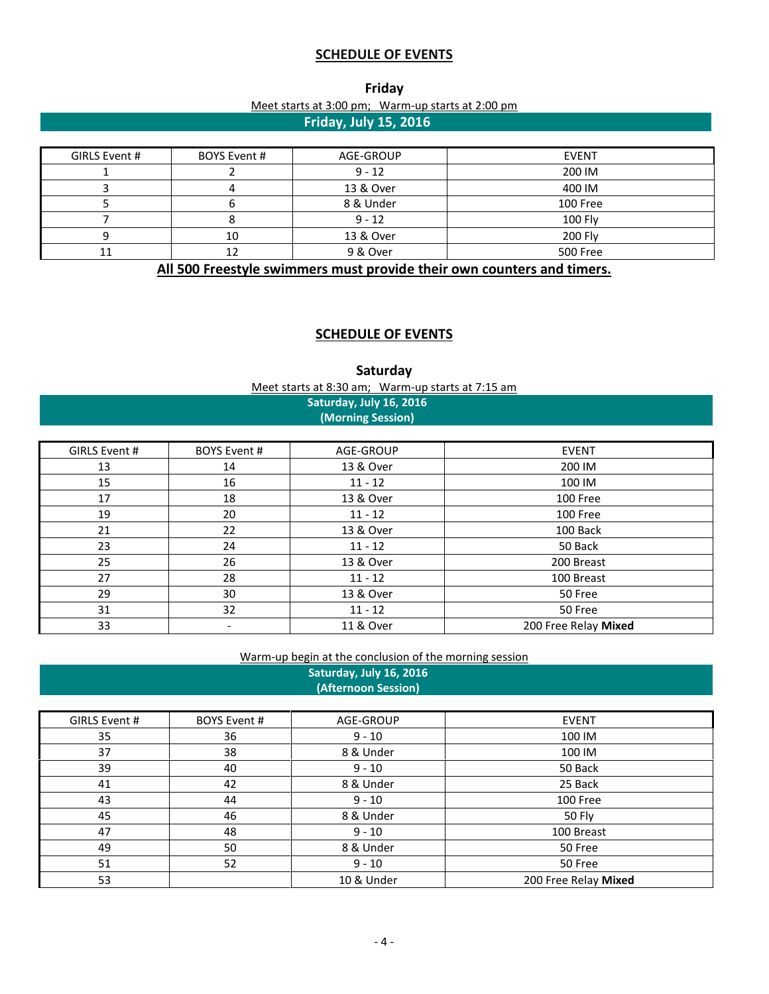# **SCHEDULE OF EVENTS**

| Friday                                            |  |  |  |  |
|---------------------------------------------------|--|--|--|--|
| Meet starts at 3:00 pm; Warm-up starts at 2:00 pm |  |  |  |  |
| Friday, July 15, 2016                             |  |  |  |  |

| GIRLS Event # | BOYS Event # | AGE-GROUP | <b>EVENT</b> |
|---------------|--------------|-----------|--------------|
|               |              | $9 - 12$  | 200 IM       |
|               |              | 13 & Over | 400 IM       |
|               |              | 8 & Under | 100 Free     |
|               |              | $9 - 12$  | 100 Fly      |
|               | 10           | 13 & Over | 200 Fly      |
|               |              | 9 & Over  | 500 Free     |

**All 500 Freestyle swimmers must provide their own counters and timers.**

# **SCHEDULE OF EVENTS**

**Saturday** Meet starts at 8:30 am; Warm-up starts at 7:15 am

## **Saturday, July 16, 2016 (Morning Session)**

| GIRLS Event # | <b>BOYS Event #</b>      | AGE-GROUP | <b>EVENT</b>         |
|---------------|--------------------------|-----------|----------------------|
| 13            | 14                       | 13 & Over | 200 IM               |
| 15            | 16                       | $11 - 12$ | 100 IM               |
| 17            | 18                       | 13 & Over | 100 Free             |
| 19            | 20                       | $11 - 12$ | 100 Free             |
| 21            | 22                       | 13 & Over | 100 Back             |
| 23            | 24                       | $11 - 12$ | 50 Back              |
| 25            | 26                       | 13 & Over | 200 Breast           |
| 27            | 28                       | $11 - 12$ | 100 Breast           |
| 29            | 30                       | 13 & Over | 50 Free              |
| 31            | 32                       | $11 - 12$ | 50 Free              |
| 33            | $\overline{\phantom{a}}$ | 11 & Over | 200 Free Relay Mixed |

## Warm-up begin at the conclusion of the morning session

**Saturday, July 16, 2016 (Afternoon Session)**

| GIRLS Event # | <b>BOYS Event #</b> | AGE-GROUP  | <b>EVENT</b>         |
|---------------|---------------------|------------|----------------------|
| 35            | 36                  | $9 - 10$   | 100 IM               |
| 37            | 38                  | 8 & Under  | 100 IM               |
| 39            | 40                  | $9 - 10$   | 50 Back              |
| 41            | 42                  | 8 & Under  | 25 Back              |
| 43            | 44                  | $9 - 10$   | 100 Free             |
| 45            | 46                  | 8 & Under  | 50 Fly               |
| 47            | 48                  | $9 - 10$   | 100 Breast           |
| 49            | 50                  | 8 & Under  | 50 Free              |
| 51            | 52                  | $9 - 10$   | 50 Free              |
| 53            |                     | 10 & Under | 200 Free Relay Mixed |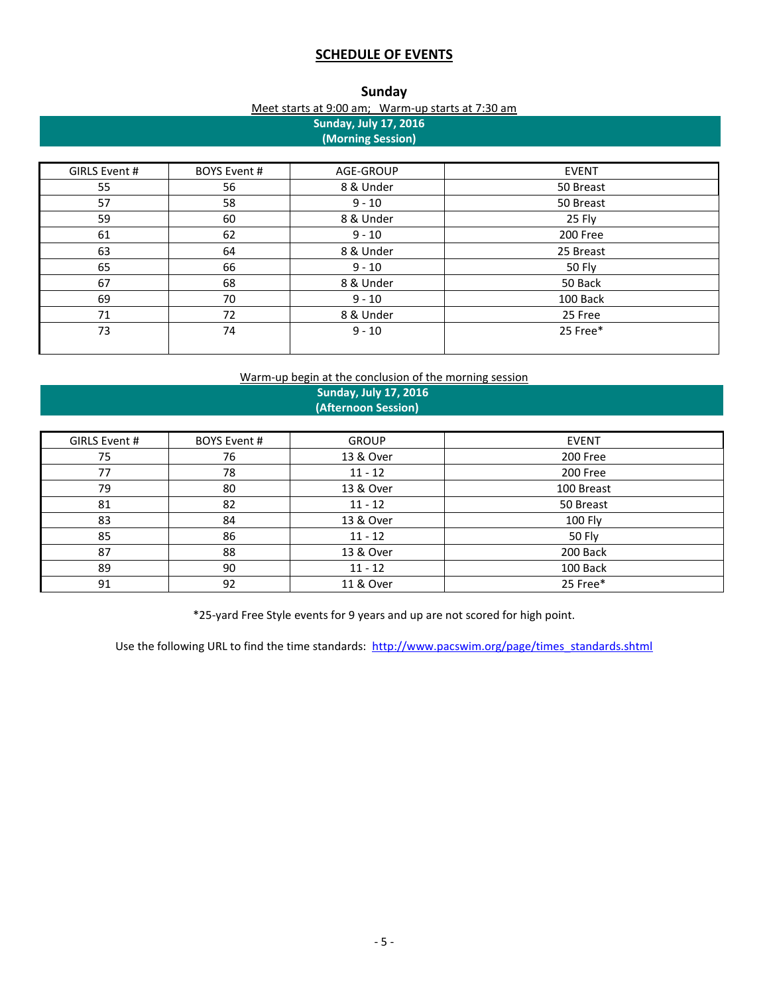# **SCHEDULE OF EVENTS**

| Meet starts at 9:00 am; Warm-up starts at 7:30 am |  |
|---------------------------------------------------|--|

| <b>Sunday, July 17, 2016</b><br>(Morning Session) |                     |           |              |
|---------------------------------------------------|---------------------|-----------|--------------|
| GIRLS Event #                                     | <b>BOYS Event #</b> | AGE-GROUP | <b>EVENT</b> |
| 55                                                | 56                  | 8 & Under | 50 Breast    |
| 57                                                | 58                  | $9 - 10$  | 50 Breast    |
| 59                                                | 60                  | 8 & Under | 25 Fly       |
| 61                                                | 62                  | $9 - 10$  | 200 Free     |
| 63                                                | 64                  | 8 & Under | 25 Breast    |
| 65                                                | 66                  | $9 - 10$  | 50 Fly       |
| 67                                                | 68                  | 8 & Under | 50 Back      |
| 69                                                | 70                  | $9 - 10$  | 100 Back     |
| 71                                                | 72                  | 8 & Under | 25 Free      |
| 73                                                | 74                  | $9 - 10$  | 25 Free*     |
|                                                   |                     |           |              |

# Warm-up begin at the conclusion of the morning session

 **Sunday, July 17, 2016 (Afternoon Session)** 

| GIRLS Event # | <b>BOYS Event #</b> | <b>GROUP</b> | <b>EVENT</b> |
|---------------|---------------------|--------------|--------------|
| 75            | 76                  | 13 & Over    | 200 Free     |
| 77            | 78                  | $11 - 12$    | 200 Free     |
| 79            | 80                  | 13 & Over    | 100 Breast   |
| 81            | 82                  | $11 - 12$    | 50 Breast    |
| 83            | 84                  | 13 & Over    | 100 Fly      |
| 85            | 86                  | $11 - 12$    | 50 Fly       |
| 87            | 88                  | 13 & Over    | 200 Back     |
| 89            | 90                  | $11 - 12$    | 100 Back     |
| 91            | 92                  | 11 & Over    | 25 Free*     |

\*25-yard Free Style events for 9 years and up are not scored for high point.

Use the following URL to find the time standards: [http://www.pacswim.org/page/times\\_standards.shtml](http://www.pacswim.org/page/times_standards.shtml)